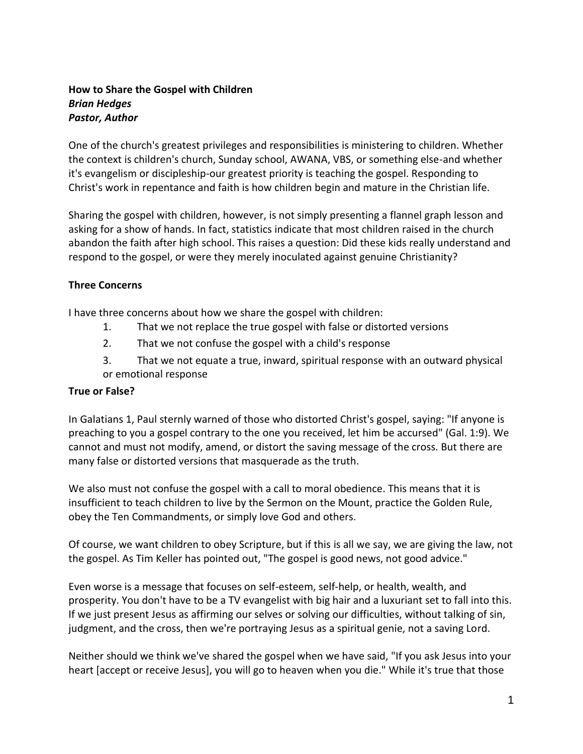## **How to Share the Gospel with Children** *Brian Hedges Pastor, Author*

One of the church's greatest privileges and responsibilities is ministering to children. Whether the context is children's church, Sunday school, AWANA, VBS, or something else-and whether it's evangelism or discipleship-our greatest priority is teaching the gospel. Responding to Christ's work in repentance and faith is how children begin and mature in the Christian life.

Sharing the gospel with children, however, is not simply presenting a flannel graph lesson and asking for a show of hands. In fact, statistics indicate that most children raised in the church abandon the faith after high school. This raises a question: Did these kids really understand and respond to the gospel, or were they merely inoculated against genuine Christianity?

## **Three Concerns**

I have three concerns about how we share the gospel with children:

- 1. That we not replace the true gospel with false or distorted versions
- 2. That we not confuse the gospel with a child's response
- 3. That we not equate a true, inward, spiritual response with an outward physical or emotional response

## **True or False?**

In Galatians 1, Paul sternly warned of those who distorted Christ's gospel, saying: "If anyone is preaching to you a gospel contrary to the one you received, let him be accursed" (Gal. 1:9). We cannot and must not modify, amend, or distort the saving message of the cross. But there are many false or distorted versions that masquerade as the truth.

We also must not confuse the gospel with a call to moral obedience. This means that it is insufficient to teach children to live by the Sermon on the Mount, practice the Golden Rule, obey the Ten Commandments, or simply love God and others.

Of course, we want children to obey Scripture, but if this is all we say, we are giving the law, not the gospel. As Tim Keller has pointed out, "The gospel is good news, not good advice."

Even worse is a message that focuses on self-esteem, self-help, or health, wealth, and prosperity. You don't have to be a TV evangelist with big hair and a luxuriant set to fall into this. If we just present Jesus as affirming our selves or solving our difficulties, without talking of sin, judgment, and the cross, then we're portraying Jesus as a spiritual genie, not a saving Lord.

Neither should we think we've shared the gospel when we have said, "If you ask Jesus into your heart [accept or receive Jesus], you will go to heaven when you die." While it's true that those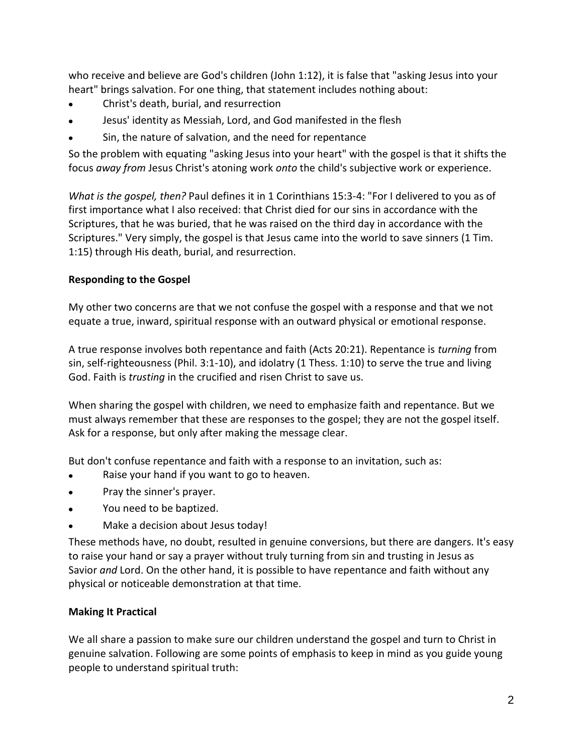who receive and believe are God's children (John 1:12), it is false that "asking Jesus into your heart" brings salvation. For one thing, that statement includes nothing about:

- Christ's death, burial, and resurrection
- Jesus' identity as Messiah, Lord, and God manifested in the flesh
- Sin, the nature of salvation, and the need for repentance  $\bullet$

So the problem with equating "asking Jesus into your heart" with the gospel is that it shifts the focus *away from* Jesus Christ's atoning work *onto* the child's subjective work or experience.

*What is the gospel, then?* Paul defines it in 1 Corinthians 15:3-4: "For I delivered to you as of first importance what I also received: that Christ died for our sins in accordance with the Scriptures, that he was buried, that he was raised on the third day in accordance with the Scriptures." Very simply, the gospel is that Jesus came into the world to save sinners (1 Tim. 1:15) through His death, burial, and resurrection.

# **Responding to the Gospel**

My other two concerns are that we not confuse the gospel with a response and that we not equate a true, inward, spiritual response with an outward physical or emotional response.

A true response involves both repentance and faith (Acts 20:21). Repentance is *turning* from sin, self-righteousness (Phil. 3:1-10), and idolatry (1 Thess. 1:10) to serve the true and living God. Faith is *trusting* in the crucified and risen Christ to save us.

When sharing the gospel with children, we need to emphasize faith and repentance. But we must always remember that these are responses to the gospel; they are not the gospel itself. Ask for a response, but only after making the message clear.

But don't confuse repentance and faith with a response to an invitation, such as:

- Raise your hand if you want to go to heaven.
- Pray the sinner's prayer.  $\bullet$
- You need to be baptized.  $\bullet$
- Make a decision about Jesus today!

These methods have, no doubt, resulted in genuine conversions, but there are dangers. It's easy to raise your hand or say a prayer without truly turning from sin and trusting in Jesus as Savior *and* Lord. On the other hand, it is possible to have repentance and faith without any physical or noticeable demonstration at that time.

# **Making It Practical**

We all share a passion to make sure our children understand the gospel and turn to Christ in genuine salvation. Following are some points of emphasis to keep in mind as you guide young people to understand spiritual truth: